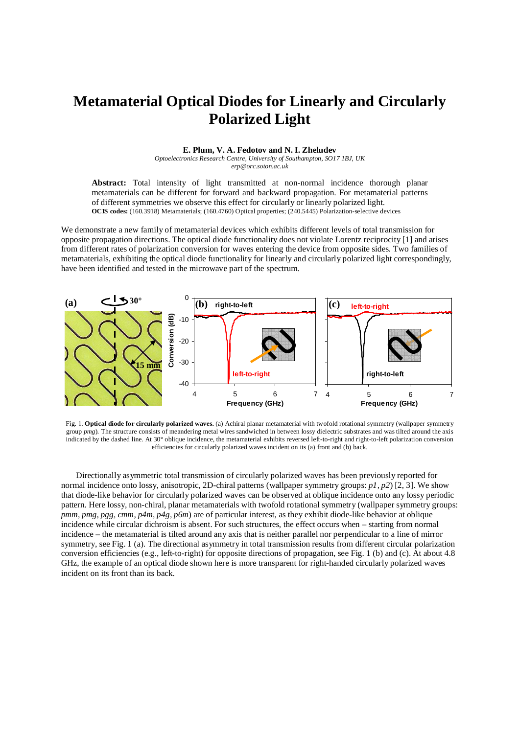## **Metamaterial Optical Diodes for Linearly and Circularly Polarized Light**

## **E. Plum, V. A. Fedotov and N. I. Zheludev**

*Optoelectronics Research Centre, University of Southampton, SO17 1BJ, UK erp@orc.soton.ac.uk* 

**Abstract:** Total intensity of light transmitted at non-normal incidence thorough planar metamaterials can be different for forward and backward propagation. For metamaterial patterns of different symmetries we observe this effect for circularly or linearly polarized light. **OCIS codes:** (160.3918) Metamaterials; (160.4760) Optical properties; (240.5445) Polarization-selective devices

We demonstrate a new family of metamaterial devices which exhibits different levels of total transmission for opposite propagation directions. The optical diode functionality does not violate Lorentz reciprocity [1] and arises from different rates of polarization conversion for waves entering the device from opposite sides. Two families of metamaterials, exhibiting the optical diode functionality for linearly and circularly polarized light correspondingly, have been identified and tested in the microwave part of the spectrum.



Fig. 1. **Optical diode for circularly polarized waves.** (a) Achiral planar metamaterial with twofold rotational symmetry (wallpaper symmetry group *pmg*). The structure consists of meandering metal wires sandwiched in between lossy dielectric substrates and was tilted around the axis indicated by the dashed line. At 30° oblique incidence, the metamaterial exhibits reversed left-to-right and right-to-left polarization conversion efficiencies for circularly polarized waves incident on its (a) front and (b) back.

Directionally asymmetric total transmission of circularly polarized waves has been previously reported for normal incidence onto lossy, anisotropic, 2D-chiral patterns (wallpaper symmetry groups: *p1, p2*) [2, 3]. We show that diode-like behavior for circularly polarized waves can be observed at oblique incidence onto any lossy periodic pattern. Here lossy, non-chiral, planar metamaterials with twofold rotational symmetry (wallpaper symmetry groups: *pmm, pmg, pgg, cmm, p4m, p4g, p6m*) are of particular interest, as they exhibit diode-like behavior at oblique incidence while circular dichroism is absent. For such structures, the effect occurs when – starting from normal incidence – the metamaterial is tilted around any axis that is neither parallel nor perpendicular to a line of mirror symmetry, see Fig. 1 (a). The directional asymmetry in total transmission results from different circular polarization conversion efficiencies (e.g., left-to-right) for opposite directions of propagation, see Fig. 1 (b) and (c). At about 4.8 GHz, the example of an optical diode shown here is more transparent for right-handed circularly polarized waves incident on its front than its back.